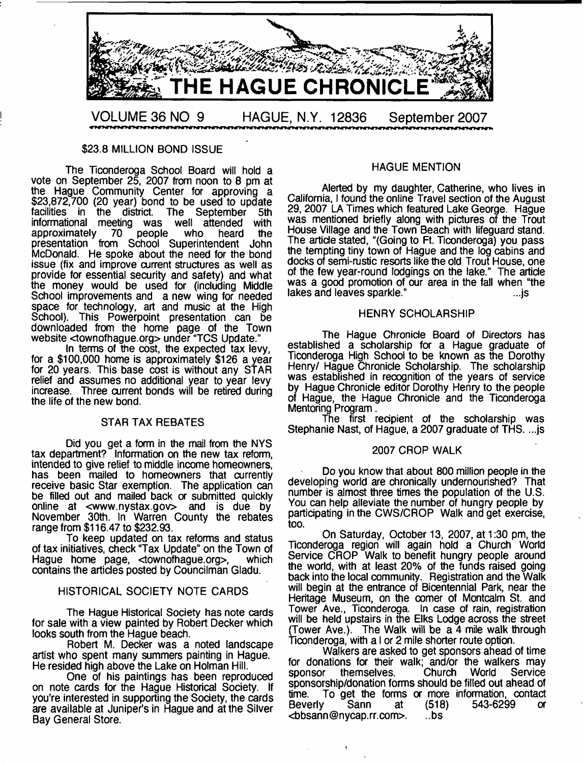

#### \$23.8 MILLION BOND ISSUE

The Ticonderoga School Board will hold a vote on September 25, 2007 from noon to 8 pm at the Hague Community Center for approving a \$23,872,700 (20 year) bond to be used to update facilities in the district. The September 5th informational meeting was well attended with approximately 70 people who heard the presentation from School Superintendent John McDonald. He spoke about the need for the bond issue (fix and improve current structures as well as provide for essential security and safety) and what the money would be used for (including Middle School improvements and a new wing for needed space for technology, art and music at the High School). This Powerpoint presentation can be downloaded from the home page of the Town website <townofhague.org> under "TCS Update."

In terms of the cost, the expected tax levy, for a \$100,000 home is approximately \$126 a year for 20 years. This base cost is without any STAR relief and assumes no additional year to year levy increase. Three current bonds will be retired during the life of the new bond.

#### STAR TAX REBATES

Did you get a form in the mail from the NYS tax department? Information on the new tax reform, intended to give relief to middle income homeowners, has been mailed to homeowners that currently receive basic Star exemption. The application can be filled out and mailed back or submitted quickly online at [<www.nystax.gov>](http://www.nystax.gov) and is due by November 30th. In Warren County the rebates range from \$116.47 to \$232.93.

To keep updated on tax reforms and status of tax initiatives, check "Tax Update" on the Town of Hague home page, <townofhague.org>, which contains the articles posted by Councilman Gladu.

#### HISTORICAL SOCIETY NOTE CARDS

The Hague Historical Society has note cards for sale with a view painted by Robert Decker which looks south from the Hague beach.

Robert M. Decker was a noted landscape artist who spent many summers painting in Hague. He resided high above the Lake on Holman Hill.

One of his paintings has been reproduced on note cards for the Hague Historical Society. If you're interested in supporting the Society, the cards are available at Juniper's in Hague and at the Silver Bay General Store.

# HAGUE MENTION

Alerted by my daughter, Catherine, who lives in California, I found the online Travel section of the August 29, 2007 LA Times which featured Lake George. Hague was mentioned briefly along with pictures of the Trout House Village and the Town Beach with lifeguard stand. The article stated, "(Going to Ft. Ticonderoga) you pass the tempting tiny town of Hague and the log cabins and docks of semi-rustic resorts like the old Trout House, one of the few year-round lodgings on the lake." The article was a good promotion of our area in the fall when "the lakes and leaves sparkle." ...js

#### HENRY SCHOLARSHIP

The Hague Chronicle Board of Directors has established a scholarship for a Hague graduate of Ticonderoga High School to be known as the Dorothy Henry/ Hague Chronicle Scholarship. The scholarship was established in recognition of the years of service by Hague Chronicle editor Dorothy Henry to the people of Hague, the Hague Chronicle and the Ticonderoga Mentoring Program.

The first recipient of the scholarship was Stephanie Nast, of Hague, a 2007 graduate of THS. ...js

#### 2007 CROP WALK

Do you know that about 800 million people in the developing world are chronically undernourished? That number is almost three times the population of the U.S. You can help alleviate the number of hungry people by participating in the CWS/CROP Walk and get exercise, too.

On Saturday, October 13, 2007, at 1:30 pm, the Ticonderoga region will again hold a Church World Service CROP Walk to benefit hungry people around the world, with at least 20% of the funds raised going back into the local community. Registration and the Walk will begin at the entrance of Bicentennial Park, near the Heritage Museum, on the comer of Montcalm St. and Tower Ave., Ticonderoga. In case of rain, registration will be held upstairs in the Elks Lodge across the street (Tower Ave.). The Walk will be a 4 mile walk through Ticonderoga, with a I or 2 mile shorter route option.

Walkers are asked to get sponsors ahead of time for donations for their walk; and/or the walkers may sponsor themselves. Church World Service sponsorship/donation forms should be filled out ahead of time. To get the forms or more information, contact beverly Sann at (518) 543-6299 or Beverly Sann at (518) 543-6299 or<br><br/>bosann@nycap.rr.com>. ..bs <br />bsann@nycap.rr.com>.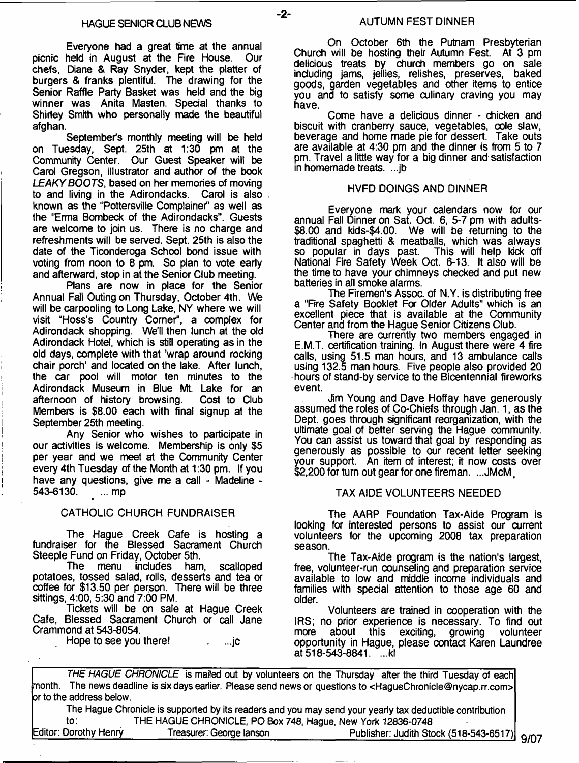$-2-$ 

Everyone had a great time at the annual picnic held in August at the Fire House. Our chefs, Diane & Ray Snyder, kept the platter of burgers & franks plentiful. The drawing for the Senior Raffle Party Basket was held and the big winner was Anita Masten. Special thanks to Shirley Smith who personally made the beautiful afghan.

September's monthly meeting will be held on Tuesday, Sept. 25th at 1:30 pm at the Community Center. Our Guest Speaker will be Carol Gregson, illustrator and author of the book *LEAKY BOOTS*, based on her memories of moving to and living in the Adirondacks. Carol is also known as the "Pottersville Complainer" as well as the "Erma Bombeck of the Adirondacks". Guests are welcome to join us. There is no charge and refreshments will be served. Sept. 25th is also the date of the Ticonderoga School bond issue with voting from noon to 8 pm. So plan to vote early and afterward, stop in at the Senior Club meeting.

Plans are now in place for the Senior Annual Fall Outing on Thursday, October 4th. We will be carpooling to Long Lake, NY where we will visit "Hoss's Country Corner", a complex for Adirondack shopping. We'll then lunch at the old Adirondack Hotel, which is still operating as in the old days, complete with that 'wrap around rocking chair porch' and located on the lake. After lunch, the car pool will motor ten minutes to the Adirondack Museum in Blue Mt. Lake for an afternoon of history browsing. Members is \$8.00 each with final signup at the September 25th meeting.

Any Senior who wishes to participate in our activities is welcome. Membership is only \$5 per year and we meet at the Community Center every 4th Tuesday of the Month at 1:30 pm. If you have any questions, give me a call - Madeline -<br>543-6130. .... mp 543-6130.

# CATHOLIC CHURCH FUNDRAISER

The Hague Creek Cafe is hosting a fundraiser for the Blessed Sacrament Church Steeple Fund on Friday, October 5th.<br>The menu indudes ham

includes ham, scalloped potatoes, tossed salad, rolls, desserts and tea or coffee for \$13.50 per person. There will be three sittings, 4:00, 5:30 and 7:00 PM.

Tickets will be on sale at Hague Creek Cafe, Blessed Sacrament Church or call Jane Crammond at 543-8054.

Hope to see you there! . ...jc

On October 6th the Putnam Presbyterian Church will be hosting their Autumn Fest. At 3 pm delicious treats by church members go on sale including jams, jellies, relishes, preserves, baked goods, garden vegetables and other items to entice you and to satisfy some culinary craving you may have.

Come have a delicious dinner - chicken and biscuit with cranberry sauce, vegetables, cole slaw, beverage and home made pie for dessert. Take outs are available at 4:30 pm and the dinner is from 5 to 7 pm. Travel a little way for a big dinner and satisfaction in homemade treats. ...jb

# HVFD DOINGS AND DINNER

Everyone mark your calendars now for our annual Fall Dinner on Sat. Oct. 6, 5-7 pm with adults- \$8.00 and kids-\$4.00. We will be returning to the traditional spaghetti & meatballs, which was always so popular in days past. This will help kick off National Fire Safety Week Oct. 6-13. It also will be the time to have your chimneys checked and put new batteries in all smoke alarms.

The Firemen's Assoc, of N.Y. is distributing free a "Fire Safety Booklet For Older Adults" which is an excellent piece that is available at the Community Center and from the Hague Senior Citizens Club.

There are currently two members engaged in E.M.T. certification training. In August there were 4 fire calls, using 51.5 man hours, and 13 ambulance calls using 132.5 man hours. Five people also provided 20 hours of stand-by service to the Bicentennial fireworks event.

Jim Young and Dave Hoffay have generously assumed the roles of Co-Chiefs through Jan. 1, as the Dept, goes through significant reorganization, with the ultimate goal of better serving the Hague community. You can assist us toward that goal by responding as generously as possible to our recent letter seeking your support. An item of interest; it now costs over \$2,200 for turn out gear for one fireman. ...JMcM

# TAX AIDE VOLUNTEERS NEEDED

The AARP Foundation Tax-Aide Program is looking for interested persons to assist our current volunteers for the upcoming 2008 tax preparation season.

The Tax-Aide program is the nation's largest, free, volunteer-run counseling and preparation service available to low and middle income individuals and families with special attention to those age 60 and older.

Volunteers are trained in cooperation with the IRS; no prior experience is necessary. To find out more about this exciting, growing volunteer about this opportunity in Hague, please contact Karen Laundree at  $518 - 543 - 8841$ . ...kl

*THE HAGUE CHRONICLE* **is mailed out by volunteers on the Thursday after the third Tuesday of each month. The news deadline is six days earlier. Please send news or questions to <[HagueChronicle@nycap.rr.com](mailto:HagueChronicle@nycap.rr.com)> or to the address below.**

**The Hague Chronicle is supported by its readers and you may send your yearly tax deductible contribution to: THE HAGUE CHRONICLE, PO Box 748, Hague, New York 12836-0748**

**Editor: Dorothy Henry\_\_\_\_\_\_\_\_\_Treasurer: George lanson\_\_\_\_\_\_\_\_\_\_\_\_\_\_\_\_\_Publisher: Judith Stock (518-543-6517)** 9/07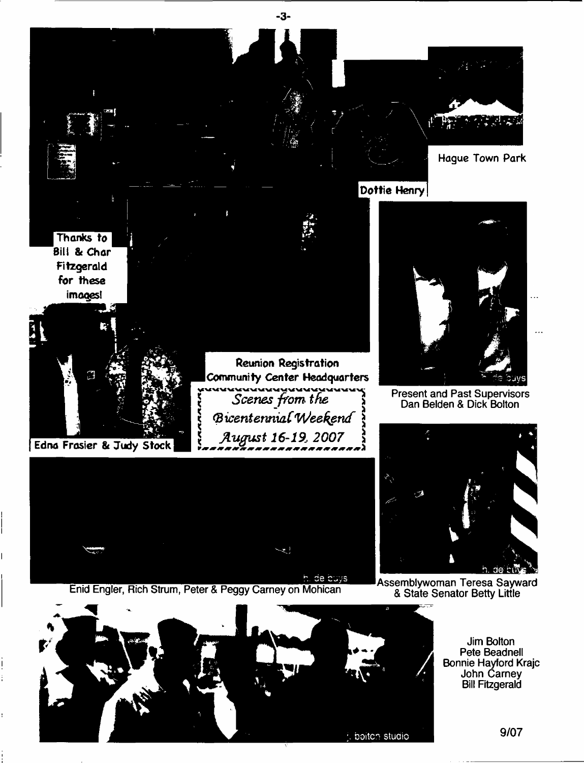



Enid Engler, Rich Strum, Peter & Peggy Carney on Mohican Assemblywoman Teresa Sayward



& State Senator Betty Little



Jim Bolton Pete Beadnell Bonnie Hayford Krajc John Carney Bill Fitzgerald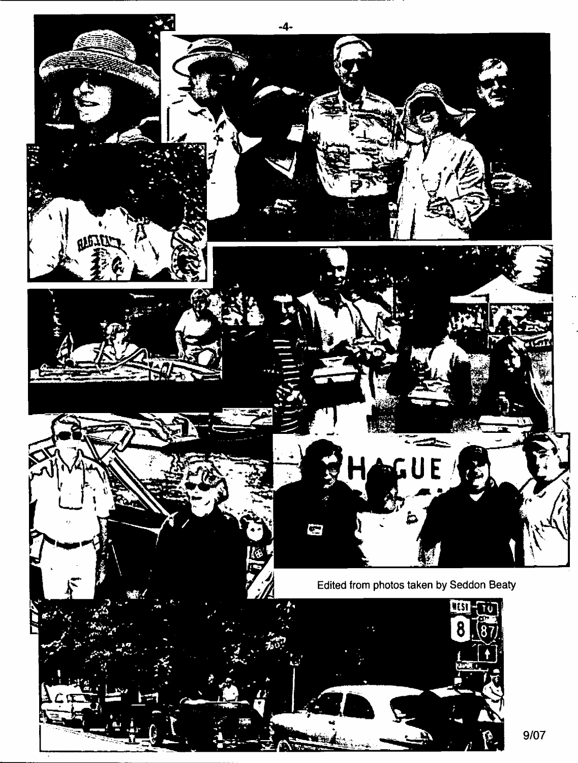

 $9/07$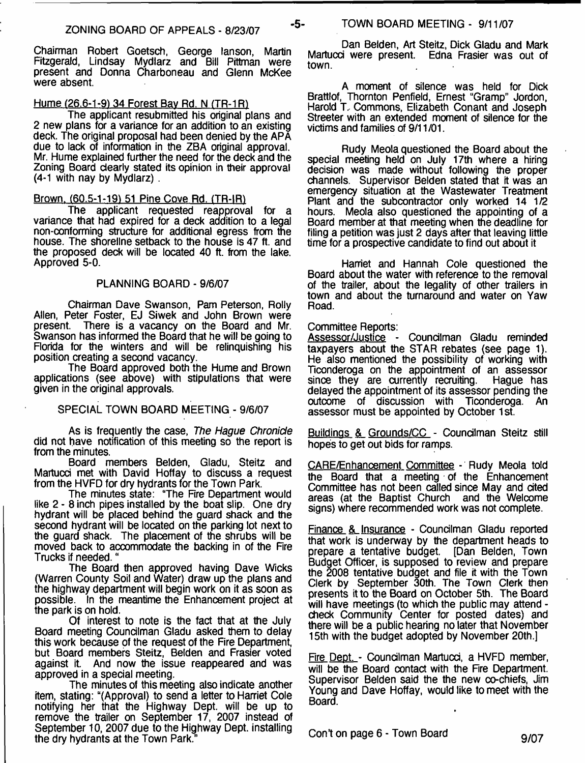Chairman Robert Goetsch, George lanson, Martin Fitzgerald, Lindsay Mydlarz and Bill Pittman were present and Donna Charboneau and Glenn McKee were absent.

# Hume (26.6-1-9) 34 Forest Bay Rd. N (TR-1R)

The applicant resubmitted his original plans and 2 new plans for a variance for an addition to an existing deck. The original proposal had been denied by the APA due to lack of information in the ZBA original approval. Mr. Hume explained further the need for the deck and the Zoning Board dearly stated its opinion in their approval (4-1 with nay by Mydlarz) .

#### Brown. (60.5-1-19) 51 Pine Cove Rd. (TR-IR)

The applicant requested reapproval for a variance that had expired for a deck addition to a legal non-conforming structure for additional egress from the house. The shoreline setback to the house is 47 ft. and the proposed deck will be located 40 ft. from the lake. Approved 5-0.

# PLANNING BOARD - 9/6/07

Chairman Dave Swanson, Pam Peterson, Roily Allen, Peter Foster, EJ Siwek and John Brown were present. There is a vacancy on the Board and Mr. There is a vacancy on the Board and Mr. Swanson has informed the Board that he will be going to Florida for the winters and will be relinquishing his position creating a second vacancy.

The Board approved both the Hume and Brown applications (see above) with stipulations that were given in the original approvals.

# SPECIAL TOWN BOARD MEETING - 9/6/07

As is frequently the case, *The Hague Chronicle* did not have notification of this meeting so the report is from the minutes.

Board members Belden, Gladu, Steitz and Martucd met with David Hoffay to discuss a request from the HVFD for dry hydrants for the Town Park.

The minutes state: "The Fire Department would like 2 - 8 inch pipes installed by the boat slip. One dry hydrant will be placed behind the guard shack and the second hydrant will be located on the parking lot next to the guard shack. The placement of the shrubs will be moved back to accommodate the backing in of the Fire Trucks if needed. "

The Board then approved having Dave Wicks (Warren County Soil and Water) draw up the plans and the highway department will begin work on it as soon as possible. In the meantime the Enhancement project at the park is on hold.

Of interest to note is the fact that at the July Board meeting Councilman Gladu asked them to delay this work because of the request of the Fire Department, but Board members Steitz, Belden and Frasier voted against it. And now the issue reappeared and was approved in a special meeting.

The minutes of this meeting also indicate another item, stating: "(Approval) to send a letter to Harriet Cole notifying her that the Highway Dept, will be up to remove the trailer on September 17, 2007 instead of September 10, 2007 due to the Highway Dept, installing the dry hydrants at the Town Park."

Dan Belden, Art Steitz, Dick Gladu and Mark Martucd were present. Edna Frasier was out of town.

A moment of silence was held for Dick Brattlof, Thornton Penfield, Ernest "Gramp" Jordon, Harold T, Commons, Elizabeth Conant and Joseph Streeter with an extended moment of silence for the victims and families of 9/11 /01.

Rudy Meola questioned the Board about the special meeting held on July 17th where a hiring decision was made without following the proper channels. Supervisor Belden stated that it was an emergency situation at the Wastewater Treatment Plant and the subcontractor only worked 14 1/2 hours. Meola also questioned the appointing of a Board member at that meeting when the deadline for filing a petition was just 2 days after that leaving little time for a prospective candidate to find out about it

Harriet and Hannah Cole questioned the Board about the water with reference to the removal of the trailer, about the legality of other trailers in town and about the turnaround and water on Yaw Road.

#### Committee Reports:

Assessor/Justice - Councilman Gladu reminded taxpayers about the STAR rebates (see page 1). He also mentioned the possibility of working with Ticonderoga on the appointment of an assessor<br>since they are currently recruiting. Hague has since they are currently recruiting. delayed the appointment of its assessor pending the outcome of discussion with Ticonderoga. An assessor must be appointed by October 1st.

Buildings & Grounds/CC - Councilman Steitz still hopes to get out bids for ramps.

CARE/Enhancement Committee - Rudy Meola told the Board that a meeting of the Enhancement Committee has not been called since May and cited areas (at the Baptist Church and the Welcome signs) where recommended work was not complete.

Finance & Insurance - Councilman Gladu reported that work is underway by the department heads to prepare a tentative budget. [Dan Belden, Town prepare a tentative budget. Budget Officer, is supposed to review and prepare the 2008 tentative budget and file it with the Town Clerk by September 30th. The Town Clerk then presents it to the Board on October 5th. The Board will have meetings (to which the public may attend check Community Center for posted dates) and there will be a public hearing no later that November 15th with the budget adopted by November 20th.]

Fire Dept. - Councilman Martucci, a HVFD member, will be the Board contact with the Fire Department. Supervisor Belden said the the new co-chiefs, Jim Young and Dave Hoffay, would like to meet with the Board.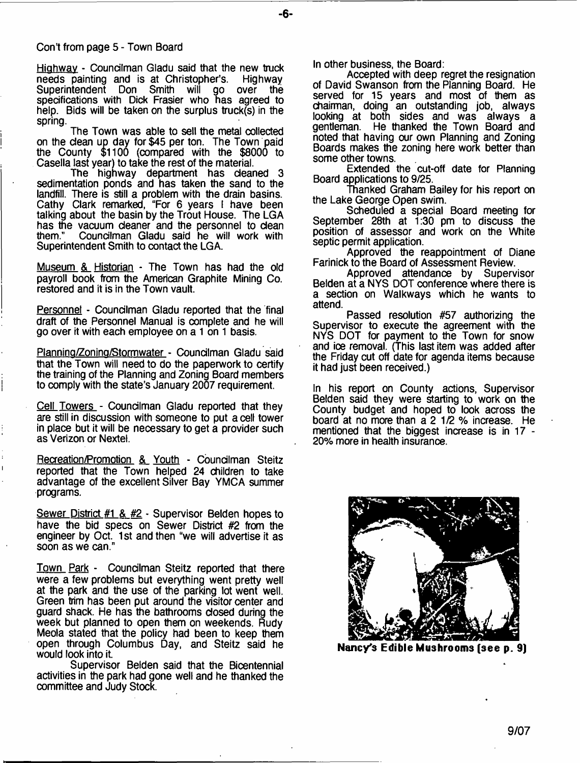#### Con't from page 5 - Town Board

Highway - Councilman Gladu said that the new truck needs painting and is at Christopher's. Highway<br>Superintendent Don Smith will go over the Superintendent Don Smith will specifications with Dick Frasier who has agreed to help. Bids will be taken on the surplus truck(s) in the spring.

The Town was able to sell the metal collected on the dean up day for \$45 per ton. The Town paid the County \$1100 (compared with the \$8000 to Casella last year) to take the rest of the material.

The highway department has deaned 3 sedimentation ponds and has taken the sand to the landfill. There is still a problem with the drain basins. Cathy Clark remarked, "For 6 years I have been talking about the basin by the Trout House. The LGA has the vacuum deaner and the personnel to dean<br>them." Councilman Gladu said he will work with Councilman Gladu said he will work with Superintendent Smith to contact the LGA.

Museum & Historian - The Town has had the old payroll book from the American Graphite Mining Co. restored and it is in the Town vault.

Personnel - Councilman Gladu reported that the final draft of the Personnel Manual is complete and he will go over it with each employee on a 1 on 1 basis.

Planning/Zoning/Stormwater - Councilman Gladu said that the Town will need to do the paperwork to certify the training of the Planning and Zoning Board members to comply with the state's January 2007 requirement.

Cell Towers - Councilman Gladu reported that they are still in discussion with someone to put a cell tower in place but it will be necessary to get a provider such as Verizon or Nextel.

Recreation/Promotion & Youth - Councilman Steitz reported that the Town helped 24 children to take advantage of the excellent Silver Bay YMCA summer programs.

Sewer District #1 & #2 - Supervisor Belden hopes to have the bid specs on Sewer District #2 from the engineer by Oct. 1st and then "we will advertise it as soon as we can."

Town Park - Councilman Steitz reported that there were a few problems but everything went pretty well at the park and the use of the parking lot went well. Green trim has been put around the visitor center and guard shack. He has the bathrooms dosed during the week but planned to open them on weekends. Rudy Meola stated that the policy had been to keep them open through Columbus Day, and Steitz said he would look into it.

Supervisor Belden said that the Bicentennial activities in the park had gone well and he thanked the committee and Judy Stock.

In other business, the Board:

Accepted with deep regret the resignation of David Swanson from the Planning Board. He served for 15 years and most of them as chairman, doing an outstanding job, always looking at both sides and was always a gentleman. He thanked the Town Board and noted that having our own Planning and Zoning Boards makes the zoning here work better than some other towns.

Extended the cut-off date for Planning Board applications to 9/25.

Thanked Graham Bailey for his report on the Lake George Open swim.

Scheduled a special Board meeting for September 28th at 1:30 pm to discuss the position of assessor and work on the White septic permit application.

Approved the reappointment of Diane Farinick to the Board of Assessment Review.

Approved attendance by Supervisor Belden at a NYS DOT conference where there is a section on Walkways which he wants to attend.

Passed resolution #57 authorizing the Supervisor to execute the agreement with the NYS DOT for payment to the Town for snow and ice removal. (This last item was added after the Friday cut off date for agenda items because it had just been received.)

In his report on County actions, Supervisor Belden said they were starting to work on the County budget and hoped to look across the board at no more than a 2 1/2 % increase. He mentioned that the biggest increase is in 17 - 20% more in health insurance.



**Nancy's Edible Mushrooms (see p. 9)**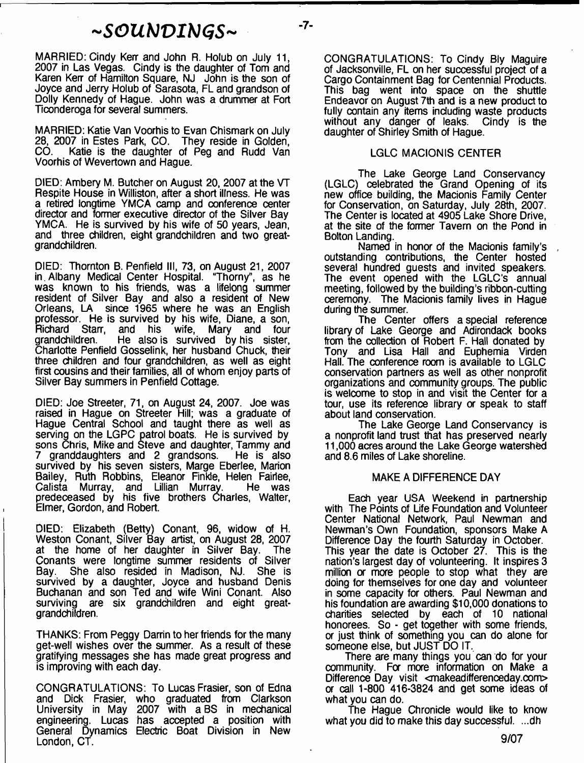# *~SGUhJVItiGS~* **-7-**

MARRIED: Cindy Kerr and John R. Holub on July 11, 2007 in Las Vegas. Cindy is the daughter of Tom and Karen Kerr of Hamilton Square, NJ John is the son of Joyce and Jerry Holub of Sarasota, FL and grandson of Dolly Kennedy of Hague. John was a drummer at Fort Ticonderoga for several summers.

MARRIED: Katie Van Voorhis to Evan Chismark on July 28, 2007 in Estes Park, CO. They reside in Golden, CO. Katie is the daughter of Peg and Rudd Van Voorhis of Wevertown and Hague.

DIED: Ambery M. Butcher on August 20, 2007 at the VT Respite House in Williston, after a short illness. He was a retired longtime YMCA camp and conference center director and former executive director of the Silver Bay YMCA. He is survived by his wife of 50 years, Jean, and three children, eight grandchildren and two greatgrandchildren.

DIED: Thornton B. Penfield III, 73, on August 21, 2007 in.Albany Medical Center Hospital. "Thorny", as he was known to his friends, was a lifelong summer resident of Silver Bay and also a resident of New Orleans, LA since 1965 where he was an English professor. He is survived by his wife, Diane, a son,<br>Richard Starr, and his wife, Mary and four Richard Starr, and his wife, Mary and four He also is survived by his sister, Charlotte Penfield Gosselink, her husband Chuck, their three children and four grandchildren, as well as eight first cousins and their families, all of whom enjoy parts of Silver Bay summers in Penfield Cottage.

DIED: Joe Streeter, 71, on August 24, 2007. Joe was raised in Hague on Streeter Hill; was a graduate of Hague Central School and taught there as well as serving on the LGPC patrol boats. He is survived by sons Chris, Mike and Steve and daughter, Tammy and 7 granddaughters and 2 grandsons. He is also survived by his seven sisters, Marge Eberlee, Marion Bailey, Ruth Robbins, Eleanor Finkle, Helen Fairiee, Calista Murray, and Lillian Murray. He was predeceased by his five brothers Charles, Walter, Elmer, Gordon, and Robert.

DIED: Elizabeth (Betty) Conant, 96, widow of H. Weston Conant, Silver Bay artist, on August 28, 2007 at the home of her daughter in Silver Bay. The Conants were longtime summer residents of Silver She also resided in Madison, NJ. survived by a daughter, Joyce and husband Denis Buchanan and son Ted and wife Wini Conant. Also surviving are six grandchildren and eight greatgrandchildren.

THANKS: From Peggy Darrin to her friends for the many get-well wishes over the summer. As a result of these gratifying messages she has made great progress and is improving with each day.

CONGRATULATIONS: To Lucas Frasier, son of Edna and Dick Frasier, who graduated from Clarkson University in May 2007 with aBS in mechanical engineering. Lucas has accepted a position with General Dynamics Electric Boat Division in New London, CT.

CONGRATULATIONS: To Cindy Bly Maguire of Jacksonville, FL on her successful project of a Cargo Containment Bag for Centennial Products. This bag went into space on the shuttle Endeavor on August 7th and is a new product to fully contain any items including waste products without any danger of leaks. Cindy is the daughter of Shirley Smith of Hague.

# LGLC MACIONIS CENTER

The Lake George Land Conservancy (LGLC) celebrated the Grand Opening of its new office building, the Macionis Family Center for Conservation, on Saturday, July 28th, 2007. The Center is located at 4905 Lake Shore Drive, at the site of the former Tavern on the Pond in Bolton Landing.

Named in honor of the Macionis family's outstanding contributions, the Center hosted several hundred guests and invited speakers. The event opened with the LGLC's annual meeting, followed by the building's ribbon-cutting ceremony. The Macionis family lives in Hague during the summer.

The Center offers a special reference library of Lake George and Adirondack books from the collection of Robert F. Hall donated by Tony and Lisa Hall and Euphemia Virden Hall. The conference room is available to LGLC conservation partners as well as other nonprofit organizations and community groups. The public is welcome to stop in and visit the Center for a tour, use its reference library a speak to staff about land conservation.

The Lake George Land Conservancy is a nonprofit land trust that has preserved nearly 11,000 acres around the Lake George watershed and 8.6 miles of Lake shoreline.

# MAKE A DIFFERENCE DAY

Each year USA Weekend in partnership with The Points of Life Foundation and Volunteer Center National Network, Paul Newman and Newman's Own Foundation, sponsors Make A Difference Day the fourth Saturday in October. This year the date is October 27. This is the nation's largest day of volunteering. It inspires 3 million or more people to stop what they are doing for themselves for one day and volunteer in some capacity for others. Paul Newman and his foundation are awarding \$10,000 donations to charities selected by each of 10 national honorees. So - get together with some friends, or just think of something you can do alone for someone else, but JUST DO IT.

There are many things you can do for your community. For more information on Make a Difference Day visit <makeadifferenceday.com> or call 1-800 416-3824 and get some ideas of what you can do.

The Hague Chronicle would like to know what you did to make this day successful. ...dh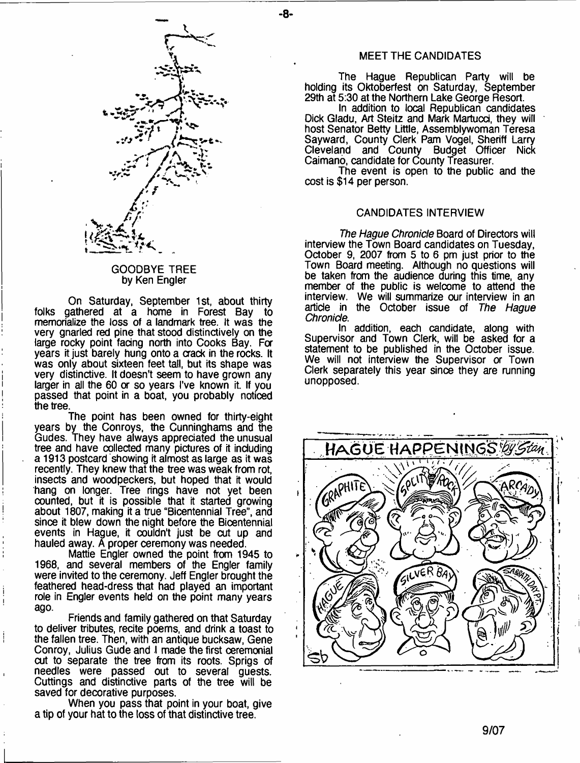

# GOODBYE TREE by Ken Engler

On Saturday, September 1st, about thirty folks gathered at a home in Forest Bay to memorialize the loss of a landmark tree. It was the very gnarled red pine that stood distinctively on the large rocky point facing north into Cooks Bay. For years it just barely hung onto a crack in the rocks. It was only about sixteen feet tall, but its shape was very distinctive. It doesn't seem to have grown any larger in all the 60 or so years I've known it. If you passed that point in a boat, you probably noticed the tree.

The point has been owned for thirty-eight years by the Conroys, the Cunninghams and the Gudes. They have always appreciated the unusual tree and have collected many pictures of it including a 1913 postcard showing it almost as large as it was recently. They knew that the tree was weak from rot, insects and woodpeckers, but hoped that it would hang on longer. Tree rings have not yet been counted, but it is possible that it started growing about 1807, making it a true "Bicentennial Tree", and since it blew down the night before the Bicentennial events in Hague, it couldn't just be cut up and hauled away. A proper ceremony was needed.

Mattie Engler owned the point from 1945 to 1968, and several members of the Engler family were invited to the ceremony. Jeff Engler brought the feathered head-dress that had played an important role in Engler events held on the point many years ago.

 $\mathbf{I}$ 

Friends and family gathered on that Saturday to deliver tributes, recite poems, and drink a toast to the fallen tree. Then, with an antique bucksaw, Gene Conroy, Julius Gude and I made the first ceremonial cut to separate the tree from its roots. Sprigs of needles were passed out to several guests. Cuttings and distinctive parts of the tree will be saved for decorative purposes.

When you pass that point in your boat, give a tip of your hat to the loss of that distinctive tree.

#### MEET THE CANDIDATES

-8-

The Hague Republican Party will be holding its Oktoberfest on Saturday, September 29th at 5:30 at the Northern Lake George Resort.

In addition to local Republican candidates Dick Gladu, Art Steitz and Mark Martucd, they will host Senator Betty Little, Assemblywoman Teresa Sayward, County Clerk Pam Vogel, Sheriff Larry Cleveland and County Budget Officer Nick Caimano, candidate for County Treasurer.

The event is open to the public and the cost is \$14 per person.

# CANDIDATES INTERVIEW

*The Hague Chronicle* Board of Directors will interview the Town Board candidates on Tuesday, October 9, 2007 from 5 to 6 pm just prior to the Town Board meeting. Although no questions will be taken from the audience during this time, any member of the public is welcome to attend the interview. We will summarize our interview in an artide in the October issue of *The Hague Chronicle*.

In addition, each candidate, along with Supervisor and Town Clerk, will be asked for a statement to be published in the October issue. We will not interview the Supervisor or Town Clerk separately this year since they are running unopposed.

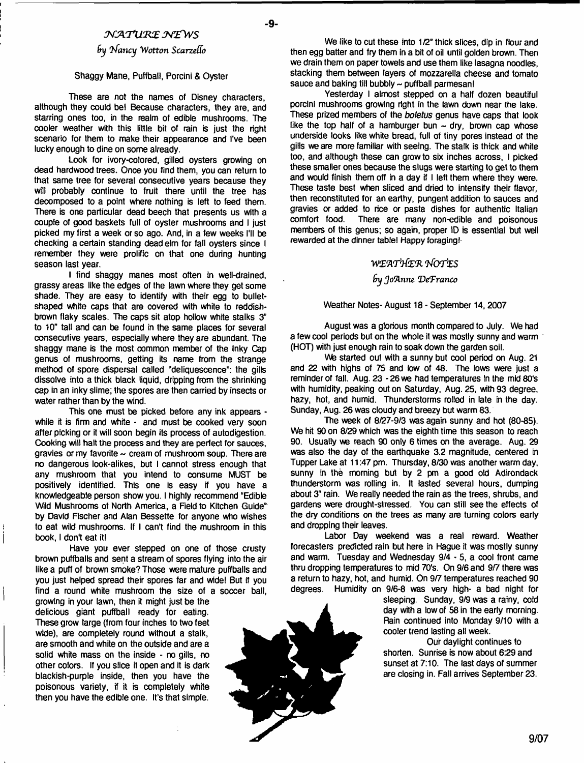# *JV y\.T U K £ JsT£\VS*

# *fry Infancy Wotton Scarzeffo*

#### **Shaggy Mane, Puffball, Porcini & Oyster**

**These are not the names of Disney characters, although they could be! Because characters, they are, and starring ones too, in the realm of edible mushrooms. The cooler weather with this little bit of rain is just the right scenario for them to make their appearance and I've been lucky enough to dine on some already.**

**Look for ivory-colored, gilled oysters growing on dead hardwood trees. Once you find them, you can return to that same tree for several consecutive years because they will probably continue to fruit there until the tree has decomposed to a point where nothing is left to feed them. There is one particular dead beech that presents us with a couple of good baskets full of oyster mushrooms and I just picked my first a week or so ago. And, in a few weeks I'll be checking a certain standing dead elm for fall oysters since I remember they were prolific on that one during hunting season last year.**

**I find shaggy manes most often in well-drained, grassy areas like the edges of the lawn where they get some shade. They are easy to identify with their egg to bulletshaped white caps that are covered with white to reddishbrown flaky scales. The caps sit atop hollow white stalks 3" to 10" tall and can be found in the same places for several consecutive years, especially where they are abundant. The shaggy mane is the most common member of the Inky Cap genus of mushrooms, getting its name from the strange method of spore dispersal called "deliquescence": the gills dissolve into a thick black liquid, dripping from the shrinking cap in an inky slime; the spores are then carried by insects or water rather than by the wind.**

**This one must be picked before any ink appears while it is firm and white - and must be cooked very soon after picking or it will soon begin its process of autodigestion. Cooking will halt the process and they are perfect for sauces,** gravies or my favorite ~ cream of mushroom soup. There are **no dangerous look-alikes, but I cannot stress enough that any mushroom that you intend to consume MUST be positively identified. This one is easy if you have a knowledgeable person show you. I highly recommend "Edible Wild Mushrooms of North America, a Reid to Kitchen Guide" by David Fischer and Alan Bessette for anyone who wishes to eat wild mushrooms. If I can't find the mushroom in this book, I don't eat it!**

**Have you ever stepped on one of those crusty brown puffballs and sent a stream of spores flying into the air like a puff of brown smoke? Those were mature puffballs and you just helped spread their spores far and wide! But if you find a round white mushroom the size of a soccer ball,**

**growing in your lawn, then it might just be the delicious giant puffball ready for eating. These grow targe (from four inches to two feet wide), are completely round without a stalk, are smooth and white on the outside and are a solid white mass on the inside - no gills, no other colors. If you slice it open and it is dark blackish-purple inside, then you have the poisonous variety, if it is completely white then you have the edible one. It's that simple.**

**We like to cut these into 1/2" thick slices, dip in flour and then egg batter and fry them in a bit of oil until golden brown. Then we drain them on paper towels and use them like lasagna noodles, stacking them between layers of mozzarella cheese and tomato sauce and baking till bubbly - puffball parmesan!**

**Yesterday I almost stepped on a half dozen beautiful porcini mushrooms growing right In the lawn down near the lake. These prized members of the** *boletus* **genus have caps that look** like the top half of a hamburger bun  $\sim$  dry, brown cap whose **underside looks like white bread, full of tiny pores instead of the gills we are more familiar with seeing. The stalk is thick and white too, and although these can grow to six inches across, I picked these smaller ones because the slugs were starting to get to them and would finish them off in a day if I left them where they were. These taste best when sliced and dried to intensify their flavor, then reconstituted for an earthy, pungent addition to sauces and gravies or added to rice or pasta dishes for authentic Italian comfort food. There are many non-edible and poisonous members of this genus; so again, proper ID is essential but well rewarded at the dinner table! Happy foraging!-**

#### *w z w r ite ft VforfES*

#### *fry Joanne 'DeTranco*

#### **Weather Notes- August 18 - September 14,2007**

**August was a glorious month compared to July. We had a few cool periods but on the whole it was mostly sunny and warm (HOT) with just enough rain to soak down the garden soil.**

We started out with a sunny but cool period on Aug. 21 **and 22 with highs of 75 and low of 48. The lows were just a** reminder of fall. Aug. 23 - 26 we had temperatures in the mid 80's **with humidity, peaking out on Saturday, Aug. 25, with 93 degree, hazy, hot, and humid. Thunderstorms rolled in late in the day. Sunday, Aug. 26 was cloudy and breezy but warm 83.**

**The week of 8/27-9/3 was again sunny and hot (80-85). We hit 90 on 8/29 which was the eighth time this season to reach 90. Usually we reach 90 only 6 times on the average. Aug. 29 was also the day of the earthquake 3.2 magnitude, centered in Tupper Lake at 11:47 pm. Thursday, 8/30 was another warm day, sunny in the morning but by 2 pm a good old Adirondack thunderstorm was rolling in. It lasted several hours, dumping about 3" rain. We really needed the rain as the trees, shrubs, and gardens were drought-stressed. You can still see the effects of the dry conditions on the trees as many are turning colors early and dropping their leaves.**

**Labor Day weekend was a real reward. Weather forecasters predicted rain but here in Hague it was mostly sunny and warm. Tuesday and Wednesday 9/4 - 5, a cool front came thru dropping temperatures to mid 70's. On 9/6 and 9/7 there was a return to hazy, hot, and humid. On 9/7 temperatures reached 90 degrees. Humidity on 9/6-8 was very high- a bad night for**

> **sleeping. Sunday, 9/9 was a rainy, cold day with a low of 58 in the early morning. Rain continued into Monday 9/10 with a cooler trend lasting all week.**

**Our daylight continues to shorten. Sunrise is now about 6:29 and sunset at 7:10. The last days of summer are closing in. Fall arrives September 23.**